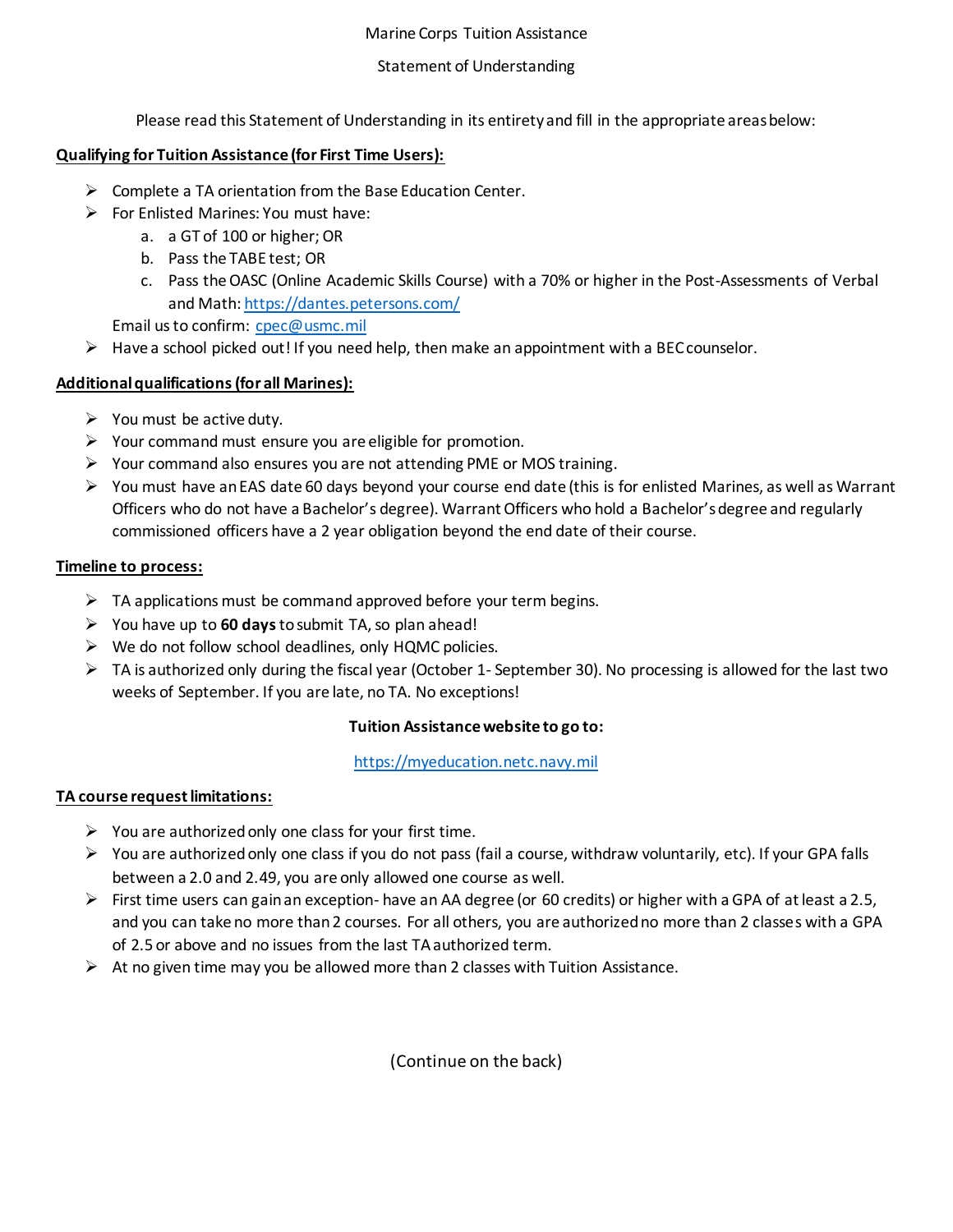#### Marine Corps Tuition Assistance

### Statement of Understanding

Please read this Statement of Understanding in its entirety and fill in the appropriate areas below:

# **Qualifying for Tuition Assistance (for First Time Users):**

- $\triangleright$  Complete a TA orientation from the Base Education Center.
- $\triangleright$  For Enlisted Marines: You must have:
	- a. a GT of 100 or higher; OR
	- b. Pass the TABE test; OR
	- c. Pass the OASC (Online Academic Skills Course) with a 70% or higher in the Post-Assessments of Verbal and Math[: https://dantes.petersons.com/](https://dantes.petersons.com/)

Email us to confirm: [cpec@usmc.mil](mailto:cpec@usmc.mil)

 $\triangleright$  Have a school picked out! If you need help, then make an appointment with a BEC counselor.

### **Additional qualifications (for all Marines):**

- $\triangleright$  You must be active duty.
- $\triangleright$  Your command must ensure you are eligible for promotion.
- $\triangleright$  Your command also ensures you are not attending PME or MOS training.
- You must have an EAS date 60 days beyond your course end date (this is for enlisted Marines, as well as Warrant Officers who do not have a Bachelor's degree). Warrant Officers who hold a Bachelor's degree and regularly commissioned officers have a 2 year obligation beyond the end date of their course.

### **Timeline to process:**

- $\triangleright$  TA applications must be command approved before your term begins.
- You have up to **60 days**to submit TA, so plan ahead!
- $\triangleright$  We do not follow school deadlines, only HQMC policies.
- $\triangleright$  TA is authorized only during the fiscal year (October 1- September 30). No processing is allowed for the last two weeks of September. If you are late, no TA. No exceptions!

# **Tuition Assistance website to go to:**

[https://myeducation.netc.navy.mil](https://myeducation.netc.navy.mil/)

# **TA course request limitations:**

- $\triangleright$  You are authorized only one class for your first time.
- $\triangleright$  You are authorized only one class if you do not pass (fail a course, withdraw voluntarily, etc). If your GPA falls between a 2.0 and 2.49, you are only allowed one course as well.
- First time users can gain an exception- have an AA degree (or 60 credits) or higher with a GPA of at least a 2.5, and you can take no more than 2 courses. For all others, you are authorized no more than 2 classes with a GPA of 2.5 or above and no issues from the last TA authorized term.
- $\triangleright$  At no given time may you be allowed more than 2 classes with Tuition Assistance.

(Continue on the back)